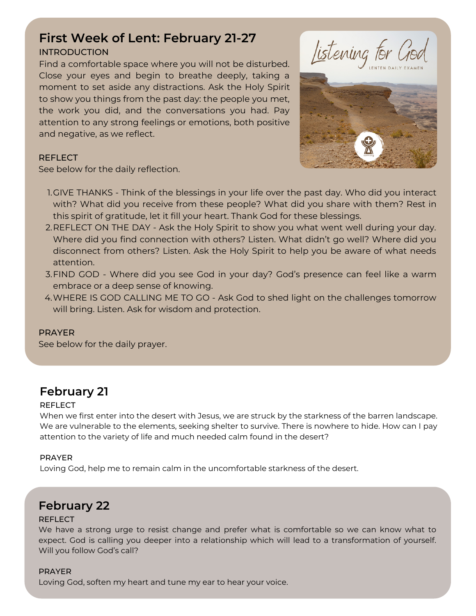# **First Week of Lent: February 21-27**

### INTRODUCTION

Find a comfortable space where you will not be disturbed. Close your eyes and begin to breathe deeply, taking a moment to set aside any distractions. Ask the Holy Spirit to show you things from the past day: the people you met, the work you did, and the conversations you had. Pay attention to any strong feelings or emotions, both positive and negative, as we reflect.





### **REFLECT**

See below for the daily reflection.

- 1.GIVE THANKS Think of the blessings in your life over the past day. Who did you interact with? What did you receive from these people? What did you share with them? Rest in this spirit of gratitude, let it fill your heart. Thank God for these blessings.
- 2.REFLECT ON THE DAY Ask the Holy Spirit to show you what went well during your day. Where did you find connection with others? Listen. What didn't go well? Where did you disconnect from others? Listen. Ask the Holy Spirit to help you be aware of what needs attention.
- FIND GOD Where did you see God in your day? God's presence can feel like a warm 3. embrace or a deep sense of knowing.
- WHERE IS GOD CALLING ME TO GO Ask God to shed light on the challenges tomorrow 4. will bring. Listen. Ask for wisdom and protection.

### PRAYER

See below for the daily prayer.

## **February 21**

### **REFLECT**

When we first enter into the desert with Jesus, we are struck by the starkness of the barren landscape. We are vulnerable to the elements, seeking shelter to survive. There is nowhere to hide. How can I pay attention to the variety of life and much needed calm found in the desert?

### PRAYER

Loving God, help me to remain calm in the uncomfortable starkness of the desert.

## **February 22**

### REFLECT

We have a strong urge to resist change and prefer what is comfortable so we can know what to expect. God is calling you deeper into a relationship which will lead to a transformation of yourself. Will you follow God's call?

### PRAYER

Loving God, soften my heart and tune my ear to hear your voice.